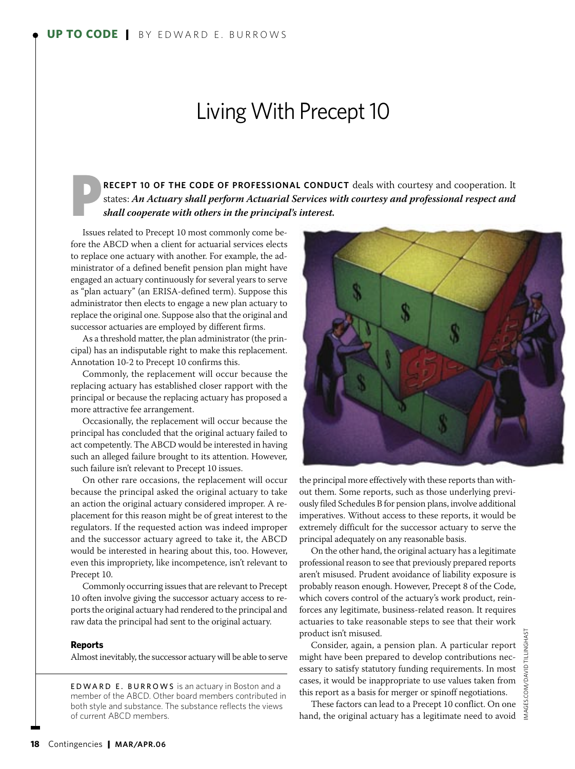## Living With Precept 10

RECEPT 10 OF THE CODE OF PROFESSIONAL CONDUCT deals with courtesy and cooperation. It states: *An Actuary shall perform Actuarial Services with courtesy and professional respect and shall cooperate with others in the principal's interest.*

Issues related to Precept 10 most commonly come before the ABCD when a client for actuarial services elects to replace one actuary with another. For example, the administrator of a defined benefit pension plan might have engaged an actuary continuously for several years to serve as "plan actuary" (an ERISA-defined term). Suppose this administrator then elects to engage a new plan actuary to replace the original one. Suppose also that the original and successor actuaries are employed by different firms.

As a threshold matter, the plan administrator (the principal) has an indisputable right to make this replacement. Annotation 10-2 to Precept 10 confirms this.

Commonly, the replacement will occur because the replacing actuary has established closer rapport with the principal or because the replacing actuary has proposed a more attractive fee arrangement.

Occasionally, the replacement will occur because the principal has concluded that the original actuary failed to act competently. The ABCD would be interested in having such an alleged failure brought to its attention. However, such failure isn't relevant to Precept 10 issues.

On other rare occasions, the replacement will occur because the principal asked the original actuary to take an action the original actuary considered improper. A replacement for this reason might be of great interest to the regulators. If the requested action was indeed improper and the successor actuary agreed to take it, the ABCD would be interested in hearing about this, too. However, even this impropriety, like incompetence, isn't relevant to Precept 10.

Commonly occurring issues that are relevant to Precept 10 often involve giving the successor actuary access to reports the original actuary had rendered to the principal and raw data the principal had sent to the original actuary.

## **Reports**

Almost inevitably, the successor actuary will be able to serve

EDWARD E. BURROWS is an actuary in Boston and a member of the ABCD. Other board members contributed in both style and substance. The substance reflects the views of current ABCD members.



the principal more effectively with these reports than without them. Some reports, such as those underlying previously filed Schedules B for pension plans, involve additional imperatives. Without access to these reports, it would be extremely difficult for the successor actuary to serve the principal adequately on any reasonable basis.

On the other hand, the original actuary has a legitimate professional reason to see that previously prepared reports aren't misused. Prudent avoidance of liability exposure is probably reason enough. However, Precept 8 of the Code, which covers control of the actuary's work product, reinforces any legitimate, business-related reason. It requires actuaries to take reasonable steps to see that their work product isn't misused.

Consider, again, a pension plan. A particular report might have been prepared to develop contributions necessary to satisfy statutory funding requirements. In most cases, it would be inappropriate to use values taken from this report as a basis for merger or spinoff negotiations.

These factors can lead to a Precept 10 conflict. On one hand, the original actuary has a legitimate need to avoid  $\leq$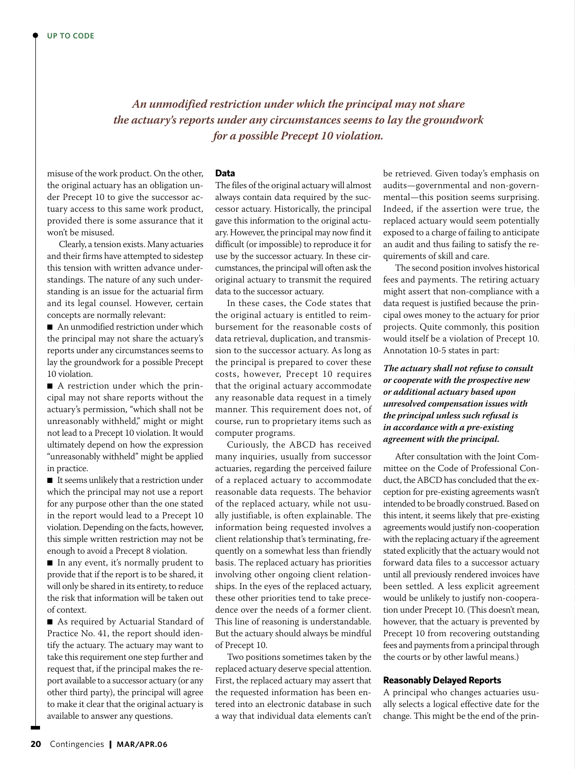*An unmodified restriction under which the principal may not share the actuary's reports under any circumstances seems to lay the groundwork for a possible Precept 10 violation.*

misuse of the work product. On the other, the original actuary has an obligation under Precept 10 to give the successor actuary access to this same work product, provided there is some assurance that it won't be misused.

Clearly, a tension exists. Many actuaries and their firms have attempted to sidestep this tension with written advance understandings. The nature of any such understanding is an issue for the actuarial firm and its legal counsel. However, certain concepts are normally relevant:

■ An unmodified restriction under which the principal may not share the actuary's reports under any circumstances seems to lay the groundwork for a possible Precept 10 violation.

■ A restriction under which the principal may not share reports without the actuary's permission, "which shall not be unreasonably withheld," might or might not lead to a Precept 10 violation. It would ultimately depend on how the expression "unreasonably withheld" might be applied in practice.

■ It seems unlikely that a restriction under which the principal may not use a report for any purpose other than the one stated in the report would lead to a Precept 10 violation. Depending on the facts, however, this simple written restriction may not be enough to avoid a Precept 8 violation.

■ In any event, it's normally prudent to provide that if the report is to be shared, it will only be shared in its entirety, to reduce the risk that information will be taken out of context.

■ As required by Actuarial Standard of Practice No. 41, the report should identify the actuary. The actuary may want to take this requirement one step further and request that, if the principal makes the report available to a successor actuary (or any other third party), the principal will agree to make it clear that the original actuary is available to answer any questions.

## **Data**

The files of the original actuary will almost always contain data required by the successor actuary. Historically, the principal gave this information to the original actuary. However, the principal may now find it difficult (or impossible) to reproduce it for use by the successor actuary. In these circumstances, the principal will often ask the original actuary to transmit the required data to the successor actuary.

In these cases, the Code states that the original actuary is entitled to reimbursement for the reasonable costs of data retrieval, duplication, and transmission to the successor actuary. As long as the principal is prepared to cover these costs, however, Precept 10 requires that the original actuary accommodate any reasonable data request in a timely manner. This requirement does not, of course, run to proprietary items such as computer programs.

Curiously, the ABCD has received many inquiries, usually from successor actuaries, regarding the perceived failure of a replaced actuary to accommodate reasonable data requests. The behavior of the replaced actuary, while not usually justifiable, is often explainable. The information being requested involves a client relationship that's terminating, frequently on a somewhat less than friendly basis. The replaced actuary has priorities involving other ongoing client relationships. In the eyes of the replaced actuary, these other priorities tend to take precedence over the needs of a former client. This line of reasoning is understandable. But the actuary should always be mindful of Precept 10.

Two positions sometimes taken by the replaced actuary deserve special attention. First, the replaced actuary may assert that the requested information has been entered into an electronic database in such a way that individual data elements can't

be retrieved. Given today's emphasis on audits—governmental and non-governmental—this position seems surprising. Indeed, if the assertion were true, the replaced actuary would seem potentially exposed to a charge of failing to anticipate an audit and thus failing to satisfy the requirements of skill and care.

The second position involves historical fees and payments. The retiring actuary might assert that non-compliance with a data request is justified because the principal owes money to the actuary for prior projects. Quite commonly, this position would itself be a violation of Precept 10. Annotation 10-5 states in part:

*The actuary shall not refuse to consult or cooperate with the prospective new or additional actuary based upon unresolved compensation issues with the principal unless such refusal is in accordance with a pre-existing agreement with the principal.* 

After consultation with the Joint Committee on the Code of Professional Conduct, the ABCD has concluded that the exception for pre-existing agreements wasn't intended to be broadly construed. Based on this intent, it seems likely that pre-existing agreements would justify non-cooperation with the replacing actuary if the agreement stated explicitly that the actuary would not forward data files to a successor actuary until all previously rendered invoices have been settled. A less explicit agreement would be unlikely to justify non-cooperation under Precept 10. (This doesn't mean, however, that the actuary is prevented by Precept 10 from recovering outstanding fees and payments from a principal through the courts or by other lawful means.)

## **Reasonably Delayed Reports**

A principal who changes actuaries usually selects a logical effective date for the change. This might be the end of the prin-